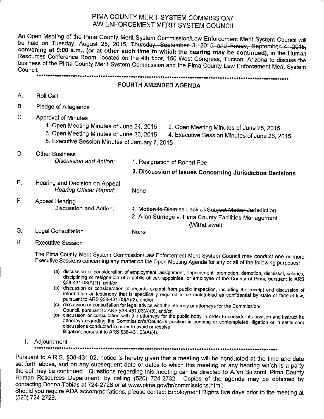# PIMA COUNTY MERIT SYSTEM COMMISSION/ LAW ENFORCEMENT MERIT SYSTEM COUNCIL

An Open Meeting of the Pima County Merit System Commission/Law Enforcement Merit System Council will be held on Tuesday, August 25, 2015, Thursday, September 3, 2015 and Friday, September 4, 2015, convening at 9:00 a.m., (or at other such time to which the hearing may be continued), in the Human Resources Conference Room, located on the 4th floor, 150 West Congress, Tucson, Arizona to discuss the business of the Pima County Merit System Commission and the Pima County Law Enforcement Merit System Council. 

### FOURTH AMENDED AGENDA

- A. Roll Call
- **B.** Pledge of Allegiance
- $\mathsf{C}$ . **Approval of Minutes** 
	- 1. Open Meeting Minutes of June 24, 2015
- 2. Open Meeting Minutes of June 25, 2015 4. Executive Session Minutes of June 26, 2015
- 3. Open Meeting Minutes of June 26, 2015
- 5. Executive Session Minutes of January 7, 2015
- D. **Other Business** Discussion and Action: 1. Resignation of Robert Fee 2. Discussion of Issues Concerning Jurisdiction Decisions Ε. Hearing and Decision on Appeal **Hearing Officer Report:** None F. Appeal Hearing

Discussion and Action: 1. Motion to Dismiss Lack of Subject Matter-Jurisdiction 2. Allan Surridge v. Pima County Facilities Management (Withdrawal) G. **Legal Consultation** None

Η. **Executive Session** 

> The Pima County Merit System Commission/Law Enforcement Merit System Council may conduct one or more Executive Sessions concerning any matter on the Open Meeting Agenda for any or all of the following purposes:

- (a) discussion or consideration of employment, assignment, appointment, promotion, demotion, dismissal, salaries, disciplining or resignation of a public officer, appointee, or employee of the County of Pima, pursuant to ARS §38-431.03(A)(1); and/or
- (b) discussion or consideration of records exempt from public inspection, including the receipt and discussion of information or testimony that is specifically required to be maintained as confidential by state or federal law, pursuant to ARS §38-431.03(A)(2); and/or
- (c) discussion or consultation for legal advice with the attorney or attorneys for the Commission/ Council, pursuant to ARS §38-431.03(A)(3); and/or
- (d) discussion or consultation with the attorneys for the public body in order to consider its position and instruct its attorneys regarding the Commission's/Council's position in pending or contemplated litigation or in settlement discussions conducted in order to avoid or resolve litigation, pursuant to ARS §38-431.03(A)(4).
- I. Adjournment

Pursuant to A.R.S. §38-431.02, notice is hereby given that a meeting will be conducted at the time and date set forth above, and on any subsequent date or dates to which this meeting or any hearing which is a party thereof may be continued. Questions regarding this meeting can be directed to Allyn Bulzomi, Pima County Human Resources Department, by calling (520) 724-2732. Copies of the agenda may be obtained by contacting Donna Tobias at 724-2728 or at www.pima.gov/hr/commissions.html.

Should you require ADA accommodations, please contact Employment Rights five days prior to the meeting at (520) 724-2728.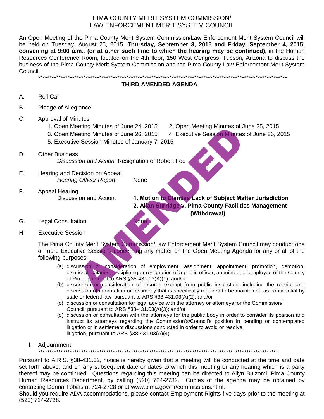# PIMA COUNTY MERIT SYSTEM COMMISSION/ LAW ENFORCEMENT MERIT SYSTEM COUNCIL

An Open Meeting of the Pima County Merit System Commission/Law Enforcement Merit System Council will be held on Tuesday, August 25, 2015, **Thursday, September 3, 2015 and Friday, September 4, 2015, convening at 9:00 a.m., (or at other such time to which the hearing may be continued)**, in the Human Resources Conference Room, located on the 4th floor, 150 West Congress, Tucson, Arizona to discuss the business of the Pima County Merit System Commission and the Pima County Law Enforcement Merit System Council. \*\*\*\*\*\*\*\*\*\*\*\*\*\*\*\*\*\*\*\*\*\*\*\*\*\*\*\*\*\*\*\*\*\*\*\*\*\*\*\*\*\*\*\*\*\*\*\*\*\*\*\*\*\*\*\*\*\*\*\*\*\*\*\*\*\*\*\*\*\*\*\*\*\*\*\*\*\*\*\*\*\*\*\*\*\*\*\*\*\*\*\*\*\*\*\*\*\*\*\*\*\*\*\*\*\*\*\*\*\*

# **THIRD AMENDED AGENDA**

- A. Roll Call
- B. Pledge of Allegiance
- C. Approval of Minutes
	- 1. Open Meeting Minutes of June 24, 2015 2. Open Meeting Minutes of June 25, 2015
	-
	- 5. Executive Session Minutes of January 7, 2015
- D. Other Business *Discussion and Action:* Resignation of Robert Fee
- E. Hearing and Decision on Appeal *Hearing Officer Report:* None
- F. Appeal Hearing<br>Discussion and Action:

# 3. Open Meeting Minutes of June 26, 2015 4. Executive Session Minutes of June 26, 2015

- **1. Motion to Dismiss Lack of Subject Matter Jurisdiction 2. Allan Surridge v. Pima County Facilities Management (Withdrawal)**
- G. Legal Consultation None
- H. Executive Session

The Pima County Merit System Commission/Law Enforcement Merit System Council may conduct one or more Executive Sessions concerning any matter on the Open Meeting Agenda for any or all of the following purposes: Fig. 10. The Commission of Robert Fee<br>
Session Minutes of June 26, 2015<br>
2. Open Meeting Minutes of June 26, 2015<br>
4. Executive Session Minutes<br>
Session Minutes of January 7, 2015<br>
3. Altan Surridge V. Pima County Faciliti

- (a) discussion or consideration of employment, assignment, appointment, promotion, demotion, dismissal, salaries, disciplining or resignation of a public officer, appointee, or employee of the County of Pima, pursuant to ARS §38-431.03(A)(1); and/or
- (b) discussion or consideration of records exempt from public inspection, including the receipt and discussion of information or testimony that is specifically required to be maintained as confidential by state or federal law, pursuant to ARS §38-431.03(A)(2); and/or
- (c) discussion or consultation for legal advice with the attorney or attorneys for the Commission/ Council, pursuant to ARS §38-431.03(A)(3); and/or
- (d) discussion or consultation with the attorneys for the public body in order to consider its position and instruct its attorneys regarding the Commission's/Council's position in pending or contemplated litigation or in settlement discussions conducted in order to avoid or resolve litigation, pursuant to ARS §38-431.03(A)(4).
- I. Adjournment

\*\*\*\*\*\*\*\*\*\*\*\*\*\*\*\*\*\*\*\*\*\*\*\*\*\*\*\*\*\*\*\*\*\*\*\*\*\*\*\*\*\*\*\*\*\*\*\*\*\*\*\*\*\*\*\*\*\*\*\*\*\*\*\*\*\*\*\*\*\*\*\*\*\*\*\*\*\*\*\*\*\*\*\*\*\*\*\*\*\*\*\*\*\*\*\*\*\*\*\*\*\*\*\*\*\*

Pursuant to A.R.S. §38-431.02, notice is hereby given that a meeting will be conducted at the time and date set forth above, and on any subsequent date or dates to which this meeting or any hearing which is a party thereof may be continued. Questions regarding this meeting can be directed to Allyn Bulzomi, Pima County Human Resources Department, by calling (520) 724-2732. Copies of the agenda may be obtained by contacting Donna Tobias at 724-2728 or at www.pima.gov/hr/commissions.html.

Should you require ADA accommodations, please contact Employment Rights five days prior to the meeting at (520) 724-2728.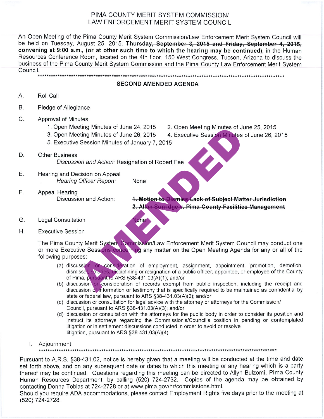# PIMA COUNTY MERIT SYSTEM COMMISSION/ LAW ENFORCEMENT MERIT SYSTEM COUNCIL

An Open Meeting of the Pima County Merit System Commission/Law Enforcement Merit System Council will be held on Tuesday, August 25, 2015, Thursday, September 3, 2015 and Friday, September 4, 2015, convening at 9:00 a.m., (or at other such time to which the hearing may be continued), in the Human Resources Conference Room, located on the 4th floor, 150 West Congress, Tucson, Arizona to discuss the business of the Pima County Merit System Commission and the Pima County Law Enforcement Merit System Council. 

### **SECOND AMENDED AGENDA**

- Α. Roll Call
- **B.** Pledge of Allegiance
- $\mathsf{C}$ . **Approval of Minutes** 
	-
	-
	-
- D.
- Е.
- F.
- 
- 

- G.
- Η.

eting Minutes of June 24, 2015<br>
2. Open Meeting Minutes of June 26, 2015<br>
4. Executive Session Minutes<br>
Session Minutes of June 26, 2015<br>
4. Executive Session Minutes<br>
Session Minutes of January 7, 2015<br>
A. Executive Sessi

- 
- 
- (c) discussion or consultation for legal advice with the attorney or attorneys for the Commission/ Council, pursuant to ARS §38-431.03(A)(3); and/or
- (d) discussion or consultation with the attorneys for the public body in order to consider its position and instruct its attorneys regarding the Commission's/Council's position in pending or contemplated litigation or in settlement discussions conducted in order to avoid or resolve litigation, pursuant to ARS §38-431.03(A)(4).
- I. Adjournment

Pursuant to A.R.S. §38-431.02, notice is hereby given that a meeting will be conducted at the time and date set forth above, and on any subsequent date or dates to which this meeting or any hearing which is a party thereof may be continued. Questions regarding this meeting can be directed to Allyn Bulzomi, Pima County Human Resources Department, by calling (520) 724-2732. Copies of the agenda may be obtained by contacting Donna Tobias at 724-2728 or at www.pima.gov/hr/commissions.html.

Should you require ADA accommodations, please contact Employment Rights five days prior to the meeting at (520) 724-2728.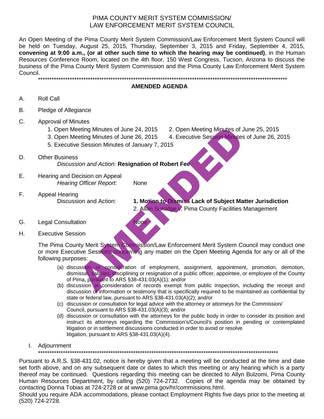# PIMA COUNTY MERIT SYSTEM COMMISSION/ LAW ENFORCEMENT MERIT SYSTEM COUNCIL

An Open Meeting of the Pima County Merit System Commission/Law Enforcement Merit System Council will be held on Tuesday, August 25, 2015, Thursday, September 3, 2015 and Friday, September 4, 2015, **convening at 9:00 a.m., (or at other such time to which the hearing may be continued)**, in the Human Resources Conference Room, located on the 4th floor, 150 West Congress, Tucson, Arizona to discuss the business of the Pima County Merit System Commission and the Pima County Law Enforcement Merit System Council. \*\*\*\*\*\*\*\*\*\*\*\*\*\*\*\*\*\*\*\*\*\*\*\*\*\*\*\*\*\*\*\*\*\*\*\*\*\*\*\*\*\*\*\*\*\*\*\*\*\*\*\*\*\*\*\*\*\*\*\*\*\*\*\*\*\*\*\*\*\*\*\*\*\*\*\*\*\*\*\*\*\*\*\*\*\*\*\*\*\*\*\*\*\*\*\*\*\*\*\*\*\*\*\*\*\*\*\*\*\*

**AMENDED AGENDA**

- A. Roll Call
- B. Pledge of Allegiance
- C. Approval of Minutes
	- 1. Open Meeting Minutes of June 24, 2015 2. Open Meeting Minutes of June 25, 2015
	- 3. Open Meeting Minutes of June 26, 2015 4. Executive Session Minutes of June 26, 2015
	- 5. Executive Session Minutes of January 7, 2015
- D. Other Business *Discussion and Action:* **Resignation of Robert Fee**
- E. Hearing and Decision on Appeal *Hearing Officer Report:* None
- F. Appeal Hearing

- Discussion and Action: **1. Motion to Dismiss Lack of Subject Matter Jurisdiction** 2. Allan Surridge v. Pima County Facilities Management
- G. Legal Consultation None
- H. Executive Session

The Pima County Merit System Commission/Law Enforcement Merit System Council may conduct one or more Executive Sessions concerning any matter on the Open Meeting Agenda for any or all of the following purposes: etting Minutes of June 24, 2015<br>
2. Open Meeting Minutes of June 26, 2015<br>
4. Executive Session Minutes<br>
9. Session Minutes of January 7, 2015<br>
3.<br>
Sion and Action: Resignation of Robert Fee<br>
ecision on Appeal<br>
1. **Motion** 

- (a) discussion or consideration of employment, assignment, appointment, promotion, demotion, dismissal, salaries, disciplining or resignation of a public officer, appointee, or employee of the County of Pima, pursuant to ARS §38-431.03(A)(1); and/or
- (b) discussion or consideration of records exempt from public inspection, including the receipt and discussion of information or testimony that is specifically required to be maintained as confidential by state or federal law, pursuant to ARS §38-431.03(A)(2); and/or
- (c) discussion or consultation for legal advice with the attorney or attorneys for the Commission/ Council, pursuant to ARS §38-431.03(A)(3); and/or
- (d) discussion or consultation with the attorneys for the public body in order to consider its position and instruct its attorneys regarding the Commission's/Council's position in pending or contemplated litigation or in settlement discussions conducted in order to avoid or resolve litigation, pursuant to ARS §38-431.03(A)(4).
- I. Adjournment

\*\*\*\*\*\*\*\*\*\*\*\*\*\*\*\*\*\*\*\*\*\*\*\*\*\*\*\*\*\*\*\*\*\*\*\*\*\*\*\*\*\*\*\*\*\*\*\*\*\*\*\*\*\*\*\*\*\*\*\*\*\*\*\*\*\*\*\*\*\*\*\*\*\*\*\*\*\*\*\*\*\*\*\*\*\*\*\*\*\*\*\*\*\*\*\*\*\*\*\*\*\*\*\*\*\*

Pursuant to A.R.S. §38-431.02, notice is hereby given that a meeting will be conducted at the time and date set forth above, and on any subsequent date or dates to which this meeting or any hearing which is a party thereof may be continued. Questions regarding this meeting can be directed to Allyn Bulzomi, Pima County Human Resources Department, by calling (520) 724-2732. Copies of the agenda may be obtained by contacting Donna Tobias at 724-2728 or at www.pima.gov/hr/commissions.html.

Should you require ADA accommodations, please contact Employment Rights five days prior to the meeting at (520) 724-2728.